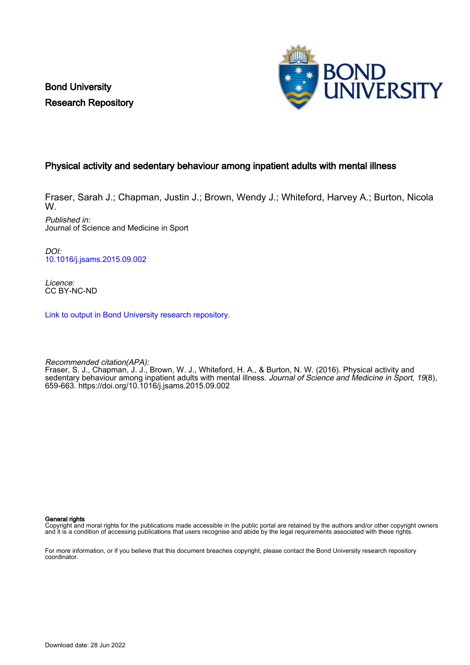Bond University Research Repository



### Physical activity and sedentary behaviour among inpatient adults with mental illness

Fraser, Sarah J.; Chapman, Justin J.; Brown, Wendy J.; Whiteford, Harvey A.; Burton, Nicola W.

Published in: Journal of Science and Medicine in Sport

DOI: [10.1016/j.jsams.2015.09.002](https://doi.org/10.1016/j.jsams.2015.09.002)

Licence: CC BY-NC-ND

[Link to output in Bond University research repository.](https://research.bond.edu.au/en/publications/b93eeda5-a77a-4496-a5cc-d8a8d14b656b)

Recommended citation(APA): Fraser, S. J., Chapman, J. J., Brown, W. J., Whiteford, H. A., & Burton, N. W. (2016). Physical activity and sedentary behaviour among inpatient adults with mental illness. *Journal of Science and Medicine in Sport, 19*(8), 659-663.<https://doi.org/10.1016/j.jsams.2015.09.002>

General rights

Copyright and moral rights for the publications made accessible in the public portal are retained by the authors and/or other copyright owners and it is a condition of accessing publications that users recognise and abide by the legal requirements associated with these rights.

For more information, or if you believe that this document breaches copyright, please contact the Bond University research repository coordinator.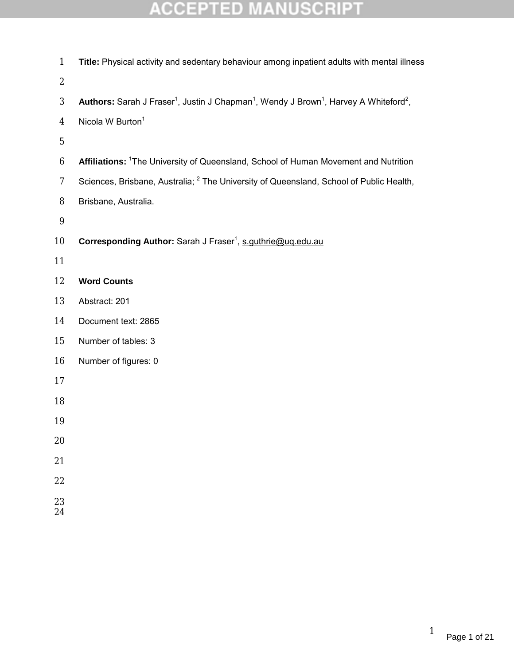| $\mathbf{1}$            | Title: Physical activity and sedentary behaviour among inpatient adults with mental illness                                           |
|-------------------------|---------------------------------------------------------------------------------------------------------------------------------------|
| $\boldsymbol{2}$        |                                                                                                                                       |
| $\sqrt{3}$              | Authors: Sarah J Fraser <sup>1</sup> , Justin J Chapman <sup>1</sup> , Wendy J Brown <sup>1</sup> , Harvey A Whiteford <sup>2</sup> , |
| $\overline{\mathbf{4}}$ | Nicola W Burton <sup>1</sup>                                                                                                          |
| $\bf 5$                 |                                                                                                                                       |
| $\boldsymbol{6}$        | Affiliations: <sup>1</sup> The University of Queensland, School of Human Movement and Nutrition                                       |
| 7                       | Sciences, Brisbane, Australia; <sup>2</sup> The University of Queensland, School of Public Health,                                    |
| $\bf 8$                 | Brisbane, Australia.                                                                                                                  |
| $\boldsymbol{9}$        |                                                                                                                                       |
| 10                      | Corresponding Author: Sarah J Fraser <sup>1</sup> , s.guthrie@uq.edu.au                                                               |
| 11                      |                                                                                                                                       |
| 12                      | <b>Word Counts</b>                                                                                                                    |
| 13                      | Abstract: 201                                                                                                                         |
| 14                      | Document text: 2865                                                                                                                   |
| 15                      | Number of tables: 3                                                                                                                   |
| 16                      | Number of figures: 0                                                                                                                  |
| 17                      |                                                                                                                                       |
| 18                      |                                                                                                                                       |
| 19                      |                                                                                                                                       |
| 20                      |                                                                                                                                       |
| 21                      |                                                                                                                                       |
| 22                      |                                                                                                                                       |
| 23                      |                                                                                                                                       |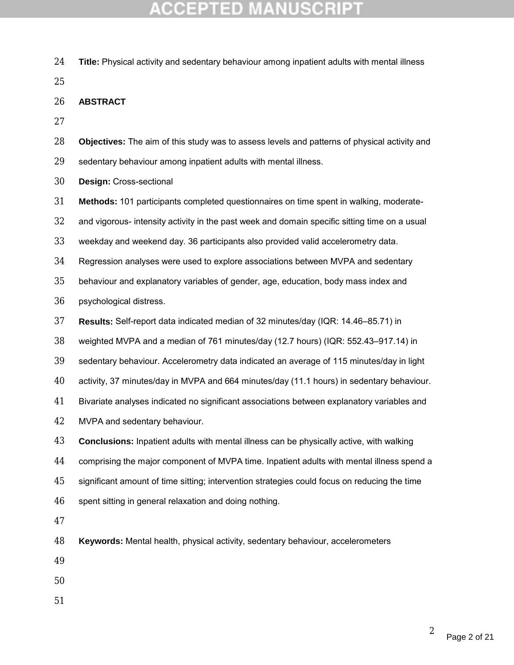- **Title:** Physical activity and sedentary behaviour among inpatient adults with mental illness
- **ABSTRACT**
- 
- **Objectives:** The aim of this study was to assess levels and patterns of physical activity and
- sedentary behaviour among inpatient adults with mental illness.
- **Design:** Cross-sectional
- **Methods:** 101 participants completed questionnaires on time spent in walking, moderate-
- and vigorous- intensity activity in the past week and domain specific sitting time on a usual
- weekday and weekend day. 36 participants also provided valid accelerometry data.
- Regression analyses were used to explore associations between MVPA and sedentary
- behaviour and explanatory variables of gender, age, education, body mass index and
- psychological distress.
- **Results:** Self-report data indicated median of 32 minutes/day (IQR: 14.46–85.71) in
- weighted MVPA and a median of 761 minutes/day (12.7 hours) (IQR: 552.43–917.14) in
- sedentary behaviour. Accelerometry data indicated an average of 115 minutes/day in light
- activity, 37 minutes/day in MVPA and 664 minutes/day (11.1 hours) in sedentary behaviour.
- Bivariate analyses indicated no significant associations between explanatory variables and
- MVPA and sedentary behaviour.
- **Conclusions:** Inpatient adults with mental illness can be physically active, with walking
- comprising the major component of MVPA time. Inpatient adults with mental illness spend a
- significant amount of time sitting; intervention strategies could focus on reducing the time
- spent sitting in general relaxation and doing nothing.
- 
- **Keywords:** Mental health, physical activity, sedentary behaviour, accelerometers
- 
- 
-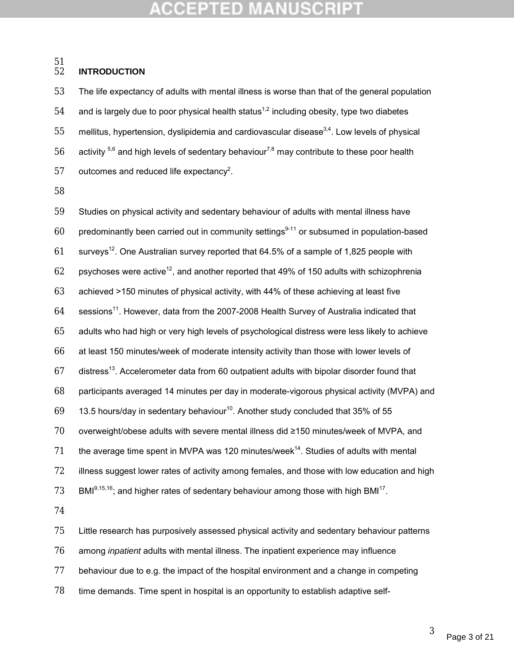#### **INTRODUCTION**

 The life expectancy of adults with mental illness is worse than that of the general population 54 and is largely due to poor physical health status<sup>1,2</sup> including obesity, type two diabetes 55 mellitus, hypertension, dyslipidemia and cardiovascular disease $3.4$ . Low levels of physical 56 activity  $5^6$  and high levels of sedentary behaviour<sup>7,8</sup> may contribute to these poor health outcomes and reduced life expectancy<sup>2</sup>.

 Studies on physical activity and sedentary behaviour of adults with mental illness have 60 predominantly been carried out in community settings<sup>9-11</sup> or subsumed in population-based surveys<sup>12</sup>. One Australian survey reported that 64.5% of a sample of 1,825 people with 62 psychoses were active<sup>12</sup>, and another reported that 49% of 150 adults with schizophrenia achieved >150 minutes of physical activity, with 44% of these achieving at least five 64 sessions<sup>11</sup>. However, data from the 2007-2008 Health Survey of Australia indicated that adults who had high or very high levels of psychological distress were less likely to achieve at least 150 minutes/week of moderate intensity activity than those with lower levels of 67 distress<sup>13</sup>. Accelerometer data from 60 outpatient adults with bipolar disorder found that participants averaged 14 minutes per day in moderate-vigorous physical activity (MVPA) and 69  $\,$  13.5 hours/day in sedentary behaviour<sup>10</sup>. Another study concluded that 35% of 55 overweight/obese adults with severe mental illness did ≥150 minutes/week of MVPA, and 71 the average time spent in MVPA was 120 minutes/week. Studies of adults with mental 72 illness suggest lower rates of activity among females, and those with low education and high 73 BMI<sup>9,15,16</sup>; and higher rates of sedentary behaviour among those with high BMI<sup>17</sup>.

 Little research has purposively assessed physical activity and sedentary behaviour patterns among *inpatient* adults with mental illness. The inpatient experience may influence behaviour due to e.g. the impact of the hospital environment and a change in competing time demands. Time spent in hospital is an opportunity to establish adaptive self-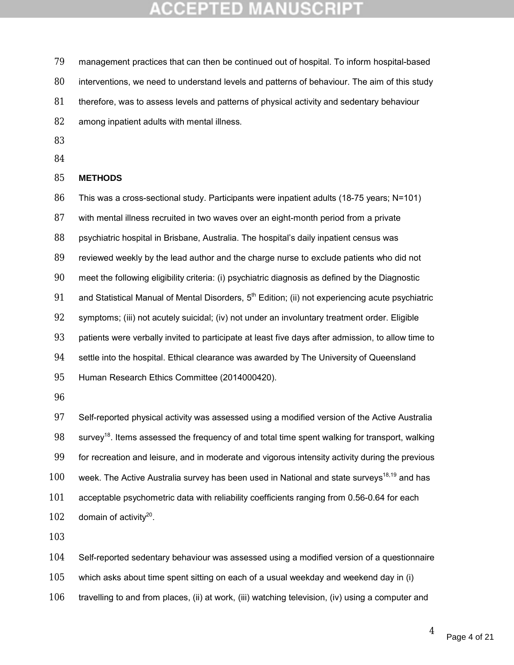- management practices that can then be continued out of hospital. To inform hospital-based interventions, we need to understand levels and patterns of behaviour. The aim of this study therefore, was to assess levels and patterns of physical activity and sedentary behaviour among inpatient adults with mental illness.
- 
- 

### **METHODS**

This was a cross-sectional study. Participants were inpatient adults (18-75 years; N=101)

with mental illness recruited in two waves over an eight-month period from a private

psychiatric hospital in Brisbane, Australia. The hospital's daily inpatient census was

reviewed weekly by the lead author and the charge nurse to exclude patients who did not

meet the following eligibility criteria: (i) psychiatric diagnosis as defined by the Diagnostic

91 and Statistical Manual of Mental Disorders,  $5<sup>th</sup>$  Edition; (ii) not experiencing acute psychiatric

symptoms; (iii) not acutely suicidal; (iv) not under an involuntary treatment order. Eligible

patients were verbally invited to participate at least five days after admission, to allow time to

settle into the hospital. Ethical clearance was awarded by The University of Queensland

- Human Research Ethics Committee (2014000420).
- 

 Self-reported physical activity was assessed using a modified version of the Active Australia 98 survey<sup>18</sup>. Items assessed the frequency of and total time spent walking for transport, walking for recreation and leisure, and in moderate and vigorous intensity activity during the previous 100 week. The Active Australia survey has been used in National and state surveys<sup>18,19</sup> and has acceptable psychometric data with reliability coefficients ranging from 0.56-0.64 for each 102 domain of activity<sup>20</sup>.

Self-reported sedentary behaviour was assessed using a modified version of a questionnaire

which asks about time spent sitting on each of a usual weekday and weekend day in (i)

travelling to and from places, (ii) at work, (iii) watching television, (iv) using a computer and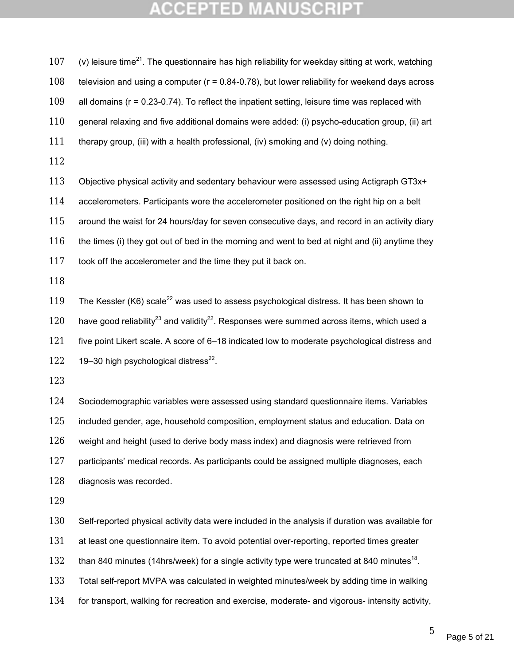107 (v) leisure time<sup>21</sup>. The questionnaire has high reliability for weekday sitting at work, watching television and using a computer (r = 0.84-0.78), but lower reliability for weekend days across all domains (r = 0.23-0.74). To reflect the inpatient setting, leisure time was replaced with general relaxing and five additional domains were added: (i) psycho-education group, (ii) art therapy group, (iii) with a health professional, (iv) smoking and (v) doing nothing. Objective physical activity and sedentary behaviour were assessed using Actigraph GT3x+ 114 accelerometers. Participants wore the accelerometer positioned on the right hip on a belt around the waist for 24 hours/day for seven consecutive days, and record in an activity diary 116 the times (i) they got out of bed in the morning and went to bed at night and (ii) anytime they took off the accelerometer and the time they put it back on. 

119 The Kessler (K6) scale<sup>22</sup> was used to assess psychological distress. It has been shown to 120 have good reliability<sup>23</sup> and validity<sup>22</sup>. Responses were summed across items, which used a five point Likert scale. A score of 6–18 indicated low to moderate psychological distress and 122  $19-30$  high psychological distress<sup>22</sup>.

 Sociodemographic variables were assessed using standard questionnaire items. Variables included gender, age, household composition, employment status and education. Data on weight and height (used to derive body mass index) and diagnosis were retrieved from participants' medical records. As participants could be assigned multiple diagnoses, each diagnosis was recorded.

Self-reported physical activity data were included in the analysis if duration was available for

131 at least one questionnaire item. To avoid potential over-reporting, reported times greater

132 than 840 minutes (14hrs/week) for a single activity type were truncated at 840 minutes<sup>18</sup>.

Total self-report MVPA was calculated in weighted minutes/week by adding time in walking

for transport, walking for recreation and exercise, moderate- and vigorous- intensity activity,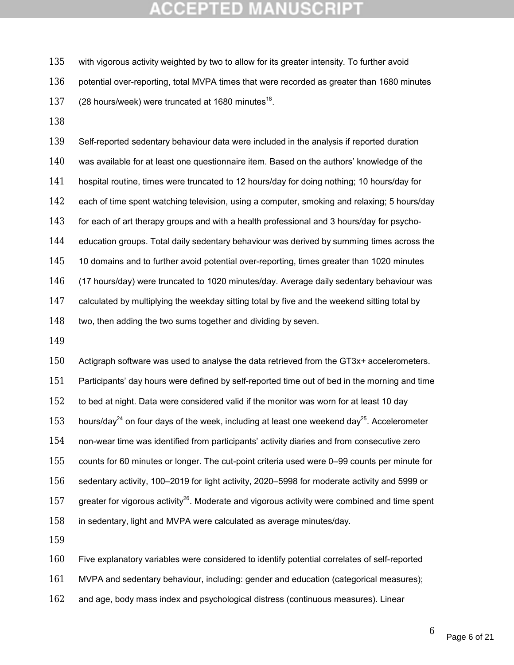with vigorous activity weighted by two to allow for its greater intensity. To further avoid 136 potential over-reporting, total MVPA times that were recorded as greater than 1680 minutes 137 (28 hours/week) were truncated at 1680 minutes<sup>18</sup>.

 Self-reported sedentary behaviour data were included in the analysis if reported duration was available for at least one questionnaire item. Based on the authors' knowledge of the hospital routine, times were truncated to 12 hours/day for doing nothing; 10 hours/day for each of time spent watching television, using a computer, smoking and relaxing; 5 hours/day for each of art therapy groups and with a health professional and 3 hours/day for psycho- education groups. Total daily sedentary behaviour was derived by summing times across the 145 10 domains and to further avoid potential over-reporting, times greater than 1020 minutes (17 hours/day) were truncated to 1020 minutes/day. Average daily sedentary behaviour was 147 calculated by multiplying the weekday sitting total by five and the weekend sitting total by 148 two, then adding the two sums together and dividing by seven.

 Actigraph software was used to analyse the data retrieved from the GT3x+ accelerometers. Participants' day hours were defined by self-reported time out of bed in the morning and time to bed at night. Data were considered valid if the monitor was worn for at least 10 day 153 hours/day<sup>24</sup> on four days of the week, including at least one weekend day<sup>25</sup>. Accelerometer non-wear time was identified from participants' activity diaries and from consecutive zero counts for 60 minutes or longer. The cut-point criteria used were 0–99 counts per minute for sedentary activity, 100–2019 for light activity, 2020–5998 for moderate activity and 5999 or 157 greater for vigorous activity<sup>26</sup>. Moderate and vigorous activity were combined and time spent in sedentary, light and MVPA were calculated as average minutes/day.

Five explanatory variables were considered to identify potential correlates of self-reported

MVPA and sedentary behaviour, including: gender and education (categorical measures);

and age, body mass index and psychological distress (continuous measures). Linear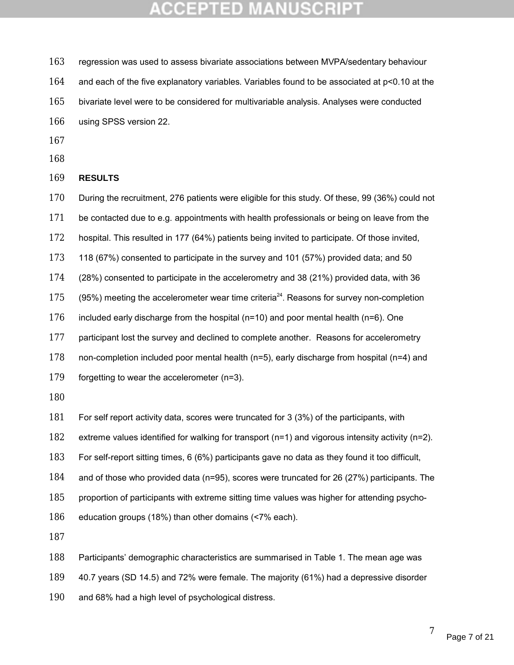regression was used to assess bivariate associations between MVPA/sedentary behaviour

and each of the five explanatory variables. Variables found to be associated at p<0.10 at the

- bivariate level were to be considered for multivariable analysis. Analyses were conducted using SPSS version 22.
- 
- 

**RESULTS**

170 During the recruitment, 276 patients were eligible for this study. Of these, 99 (36%) could not

- 171 be contacted due to e.g. appointments with health professionals or being on leave from the
- hospital. This resulted in 177 (64%) patients being invited to participate. Of those invited,
- 118 (67%) consented to participate in the survey and 101 (57%) provided data; and 50
- (28%) consented to participate in the accelerometry and 38 (21%) provided data, with 36
- (95%) meeting the accelerometer wear time criteria<sup>24</sup>. Reasons for survey non-completion
- included early discharge from the hospital (n=10) and poor mental health (n=6). One
- 177 participant lost the survey and declined to complete another. Reasons for accelerometry
- non-completion included poor mental health (n=5), early discharge from hospital (n=4) and
- forgetting to wear the accelerometer (n=3).
- 
- For self report activity data, scores were truncated for 3 (3%) of the participants, with
- extreme values identified for walking for transport (n=1) and vigorous intensity activity (n=2).
- For self-report sitting times, 6 (6%) participants gave no data as they found it too difficult,
- and of those who provided data (n=95), scores were truncated for 26 (27%) participants. The
- proportion of participants with extreme sitting time values was higher for attending psycho-
- education groups (18%) than other domains (<7% each).

- Participants' demographic characteristics are summarised in Table 1. The mean age was
- 40.7 years (SD 14.5) and 72% were female. The majority (61%) had a depressive disorder
- and 68% had a high level of psychological distress.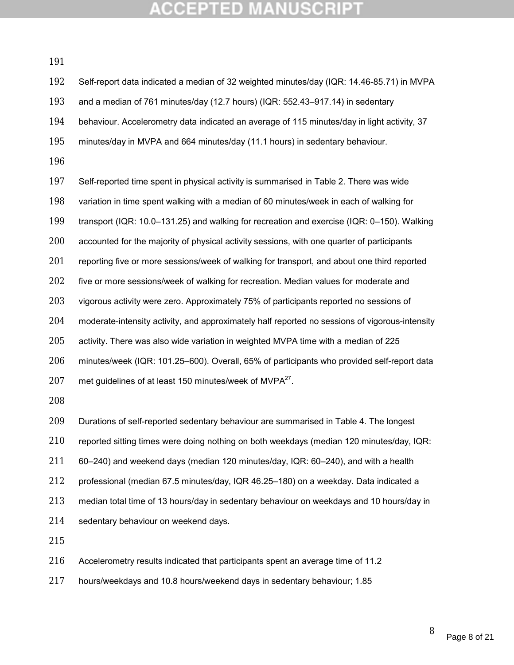| 192 | Self-report data indicated a median of 32 weighted minutes/day (IQR: 14.46-85.71) in MVPA      |
|-----|------------------------------------------------------------------------------------------------|
| 193 | and a median of 761 minutes/day (12.7 hours) (IQR: 552.43-917.14) in sedentary                 |
| 194 | behaviour. Accelerometry data indicated an average of 115 minutes/day in light activity, 37    |
| 195 | minutes/day in MVPA and 664 minutes/day (11.1 hours) in sedentary behaviour.                   |
| 196 |                                                                                                |
| 197 | Self-reported time spent in physical activity is summarised in Table 2. There was wide         |
| 198 | variation in time spent walking with a median of 60 minutes/week in each of walking for        |
| 199 | transport (IQR: 10.0–131.25) and walking for recreation and exercise (IQR: 0–150). Walking     |
| 200 | accounted for the majority of physical activity sessions, with one quarter of participants     |
| 201 | reporting five or more sessions/week of walking for transport, and about one third reported    |
| 202 | five or more sessions/week of walking for recreation. Median values for moderate and           |
| 203 | vigorous activity were zero. Approximately 75% of participants reported no sessions of         |
| 204 | moderate-intensity activity, and approximately half reported no sessions of vigorous-intensity |
| 205 | activity. There was also wide variation in weighted MVPA time with a median of 225             |
| 206 | minutes/week (IQR: 101.25–600). Overall, 65% of participants who provided self-report data     |
| 207 | met guidelines of at least 150 minutes/week of MVPA <sup>27</sup> .                            |
| 208 |                                                                                                |
| 209 | Durations of self-reported sedentary behaviour are summarised in Table 4. The longest          |
| 210 | reported sitting times were doing nothing on both weekdays (median 120 minutes/day, IQR:       |
| 211 | 60–240) and weekend days (median 120 minutes/day, IQR: 60–240), and with a health              |
| 212 | professional (median 67.5 minutes/day, IQR 46.25-180) on a weekday. Data indicated a           |
| 213 | median total time of 13 hours/day in sedentary behaviour on weekdays and 10 hours/day in       |
| 214 | sedentary behaviour on weekend days.                                                           |
| 215 |                                                                                                |
| 216 | Accelerometry results indicated that participants spent an average time of 11.2                |

hours/weekdays and 10.8 hours/weekend days in sedentary behaviour; 1.85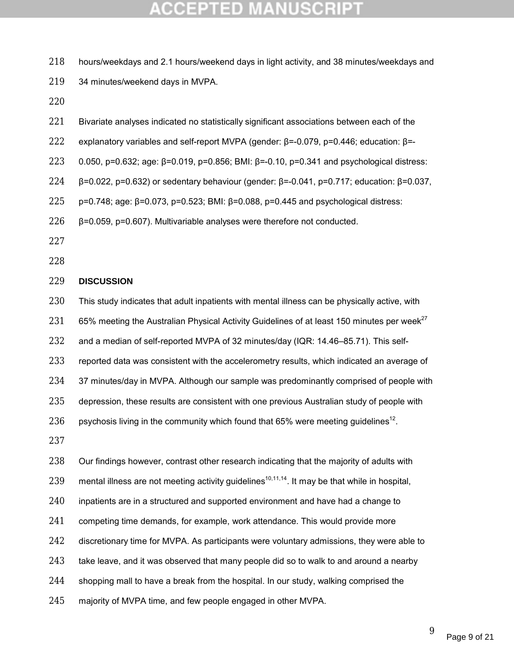- 218 hours/weekdays and 2.1 hours/weekend days in light activity, and 38 minutes/weekdays and
- 219 34 minutes/weekend days in MVPA.
- 220
- 221 Bivariate analyses indicated no statistically significant associations between each of the
- 222 explanatory variables and self-report MVPA (gender: β=-0.079, p=0.446; education: β=-
- 223 0.050, p=0.632; age: β=0.019, p=0.856; BMI: β=-0.10, p=0.341 and psychological distress:
- 224 β=0.022, p=0.632) or sedentary behaviour (gender: β=-0.041, p=0.717; education: β=0.037,
- 225 p=0.748; age: β=0.073, p=0.523; BMI: β=0.088, p=0.445 and psychological distress:
- 226 β=0.059, p=0.607). Multivariable analyses were therefore not conducted.
- 227
- 228

#### 229 **DISCUSSION**

- 230 This study indicates that adult inpatients with mental illness can be physically active, with
- 231 65% meeting the Australian Physical Activity Guidelines of at least 150 minutes per week<sup>27</sup>
- 232 and a median of self-reported MVPA of 32 minutes/day (IQR: 14.46–85.71). This self-
- 233 reported data was consistent with the accelerometry results, which indicated an average of
- 234 37 minutes/day in MVPA. Although our sample was predominantly comprised of people with
- 235 depression, these results are consistent with one previous Australian study of people with
- 236 psychosis living in the community which found that 65% were meeting guidelines<sup>12</sup>.
- 237
- 238 Our findings however, contrast other research indicating that the majority of adults with
- 239 mental illness are not meeting activity guidelines<sup>10,11,14</sup>. It may be that while in hospital,
- 240 inpatients are in a structured and supported environment and have had a change to
- 241 competing time demands, for example, work attendance. This would provide more
- 242 discretionary time for MVPA. As participants were voluntary admissions, they were able to
- 243 take leave, and it was observed that many people did so to walk to and around a nearby
- 244 shopping mall to have a break from the hospital. In our study, walking comprised the
- 245 majority of MVPA time, and few people engaged in other MVPA.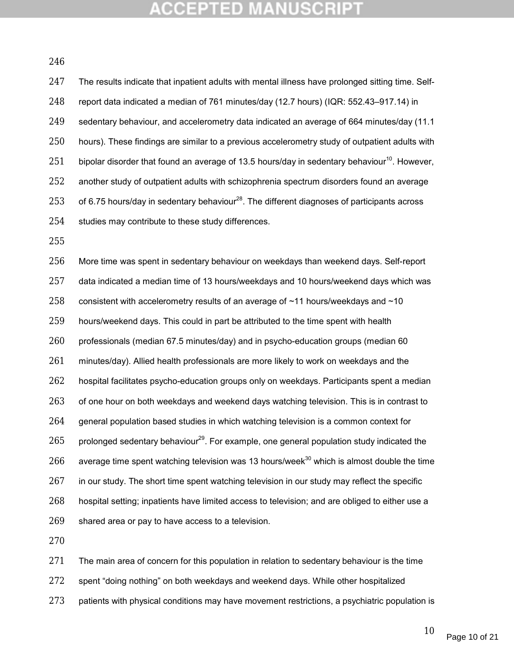### **CCEPTED**

| 247 | The results indicate that inpatient adults with mental illness have prolonged sitting time. Self-        |
|-----|----------------------------------------------------------------------------------------------------------|
| 248 | report data indicated a median of 761 minutes/day (12.7 hours) (IQR: 552.43–917.14) in                   |
| 249 | sedentary behaviour, and accelerometry data indicated an average of 664 minutes/day (11.1)               |
| 250 | hours). These findings are similar to a previous accelerometry study of outpatient adults with           |
| 251 | bipolar disorder that found an average of 13.5 hours/day in sedentary behaviour <sup>10</sup> . However, |
| 252 | another study of outpatient adults with schizophrenia spectrum disorders found an average                |
| 253 | of 6.75 hours/day in sedentary behaviour <sup>28</sup> . The different diagnoses of participants across  |
| 254 | studies may contribute to these study differences.                                                       |

 More time was spent in sedentary behaviour on weekdays than weekend days. Self-report data indicated a median time of 13 hours/weekdays and 10 hours/weekend days which was 258 consistent with accelerometry results of an average of  $~11$  hours/weekdays and  $~10$  hours/weekend days. This could in part be attributed to the time spent with health professionals (median 67.5 minutes/day) and in psycho-education groups (median 60 minutes/day). Allied health professionals are more likely to work on weekdays and the hospital facilitates psycho-education groups only on weekdays. Participants spent a median 263 of one hour on both weekdays and weekend days watching television. This is in contrast to general population based studies in which watching television is a common context for 265 prolonged sedentary behaviour<sup>29</sup>. For example, one general population study indicated the 266 average time spent watching television was 13 hours/week<sup>30</sup> which is almost double the time 267 in our study. The short time spent watching television in our study may reflect the specific hospital setting; inpatients have limited access to television; and are obliged to either use a shared area or pay to have access to a television.

271 The main area of concern for this population in relation to sedentary behaviour is the time spent "doing nothing" on both weekdays and weekend days. While other hospitalized 273 patients with physical conditions may have movement restrictions, a psychiatric population is

Page 10 of 21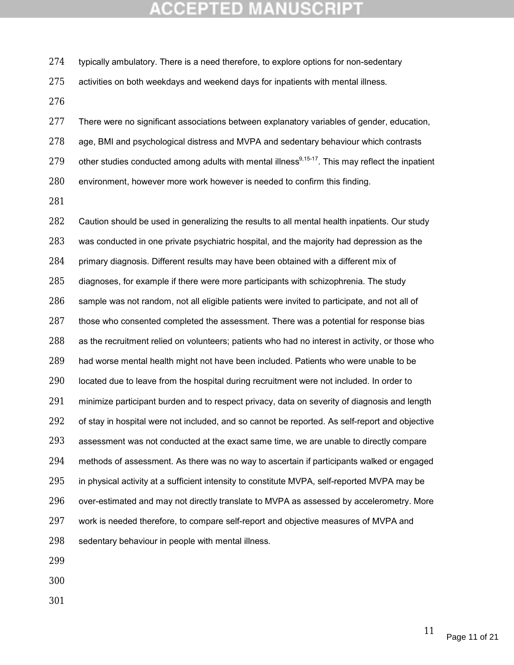274 typically ambulatory. There is a need therefore, to explore options for non-sedentary

activities on both weekdays and weekend days for inpatients with mental illness.

277 There were no significant associations between explanatory variables of gender, education, age, BMI and psychological distress and MVPA and sedentary behaviour which contrasts 279 other studies conducted among adults with mental illness<sup>9,15-17</sup>. This may reflect the inpatient environment, however more work however is needed to confirm this finding.

282 Caution should be used in generalizing the results to all mental health inpatients. Our study was conducted in one private psychiatric hospital, and the majority had depression as the primary diagnosis. Different results may have been obtained with a different mix of diagnoses, for example if there were more participants with schizophrenia. The study sample was not random, not all eligible patients were invited to participate, and not all of those who consented completed the assessment. There was a potential for response bias as the recruitment relied on volunteers; patients who had no interest in activity, or those who had worse mental health might not have been included. Patients who were unable to be 290 located due to leave from the hospital during recruitment were not included. In order to 291 minimize participant burden and to respect privacy, data on severity of diagnosis and length 292 of stay in hospital were not included, and so cannot be reported. As self-report and objective assessment was not conducted at the exact same time, we are unable to directly compare methods of assessment. As there was no way to ascertain if participants walked or engaged 295 in physical activity at a sufficient intensity to constitute MVPA, self-reported MVPA may be over-estimated and may not directly translate to MVPA as assessed by accelerometry. More work is needed therefore, to compare self-report and objective measures of MVPA and sedentary behaviour in people with mental illness.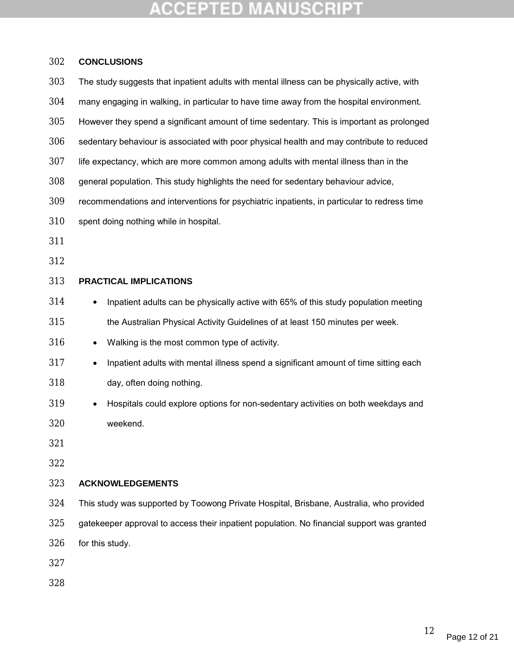| 302 | <b>CONCLUSIONS</b>                                                                                |  |  |
|-----|---------------------------------------------------------------------------------------------------|--|--|
| 303 | The study suggests that inpatient adults with mental illness can be physically active, with       |  |  |
| 304 | many engaging in walking, in particular to have time away from the hospital environment.          |  |  |
| 305 | However they spend a significant amount of time sedentary. This is important as prolonged         |  |  |
| 306 | sedentary behaviour is associated with poor physical health and may contribute to reduced         |  |  |
| 307 | life expectancy, which are more common among adults with mental illness than in the               |  |  |
| 308 | general population. This study highlights the need for sedentary behaviour advice,                |  |  |
| 309 | recommendations and interventions for psychiatric inpatients, in particular to redress time       |  |  |
| 310 | spent doing nothing while in hospital.                                                            |  |  |
| 311 |                                                                                                   |  |  |
| 312 |                                                                                                   |  |  |
| 313 | <b>PRACTICAL IMPLICATIONS</b>                                                                     |  |  |
| 314 | Inpatient adults can be physically active with 65% of this study population meeting<br>$\bullet$  |  |  |
| 315 | the Australian Physical Activity Guidelines of at least 150 minutes per week.                     |  |  |
| 316 | Walking is the most common type of activity.<br>$\bullet$                                         |  |  |
| 317 | Inpatient adults with mental illness spend a significant amount of time sitting each<br>$\bullet$ |  |  |
| 318 | day, often doing nothing.                                                                         |  |  |
| 319 | Hospitals could explore options for non-sedentary activities on both weekdays and                 |  |  |
| 320 | weekend.                                                                                          |  |  |
| 321 |                                                                                                   |  |  |
| 322 |                                                                                                   |  |  |
| 323 | <b>ACKNOWLEDGEMENTS</b>                                                                           |  |  |
| 324 | This study was supported by Toowong Private Hospital, Brisbane, Australia, who provided           |  |  |
| 325 | gatekeeper approval to access their inpatient population. No financial support was granted        |  |  |
| 326 | for this study.                                                                                   |  |  |
| 327 |                                                                                                   |  |  |
| 328 |                                                                                                   |  |  |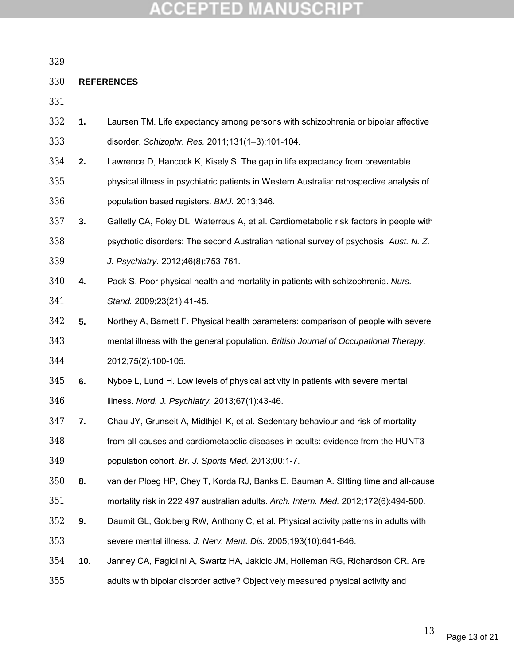### **REFERENCES**

- **1.** Laursen TM. Life expectancy among persons with schizophrenia or bipolar affective disorder. *Schizophr. Res.* 2011;131(1–3):101-104.
- **2.** Lawrence D, Hancock K, Kisely S. The gap in life expectancy from preventable
- physical illness in psychiatric patients in Western Australia: retrospective analysis of population based registers. *BMJ.* 2013;346.
- **3.** Galletly CA, Foley DL, Waterreus A, et al. Cardiometabolic risk factors in people with psychotic disorders: The second Australian national survey of psychosis. *Aust. N. Z. J. Psychiatry.* 2012;46(8):753-761.
- **4.** Pack S. Poor physical health and mortality in patients with schizophrenia. *Nurs. Stand.* 2009;23(21):41-45.
- **5.** Northey A, Barnett F. Physical health parameters: comparison of people with severe
- mental illness with the general population. *British Journal of Occupational Therapy.*
- 2012;75(2):100-105.
- **6.** Nyboe L, Lund H. Low levels of physical activity in patients with severe mental
- illness. *Nord. J. Psychiatry.* 2013;67(1):43-46.
- **7.** Chau JY, Grunseit A, Midthjell K, et al. Sedentary behaviour and risk of mortality
- from all-causes and cardiometabolic diseases in adults: evidence from the HUNT3 population cohort. *Br. J. Sports Med.* 2013;00:1-7.
- **8.** van der Ploeg HP, Chey T, Korda RJ, Banks E, Bauman A. SItting time and all-cause mortality risk in 222 497 australian adults. *Arch. Intern. Med.* 2012;172(6):494-500.
- **9.** Daumit GL, Goldberg RW, Anthony C, et al. Physical activity patterns in adults with
- severe mental illness. *J. Nerv. Ment. Dis.* 2005;193(10):641-646.
- **10.** Janney CA, Fagiolini A, Swartz HA, Jakicic JM, Holleman RG, Richardson CR. Are adults with bipolar disorder active? Objectively measured physical activity and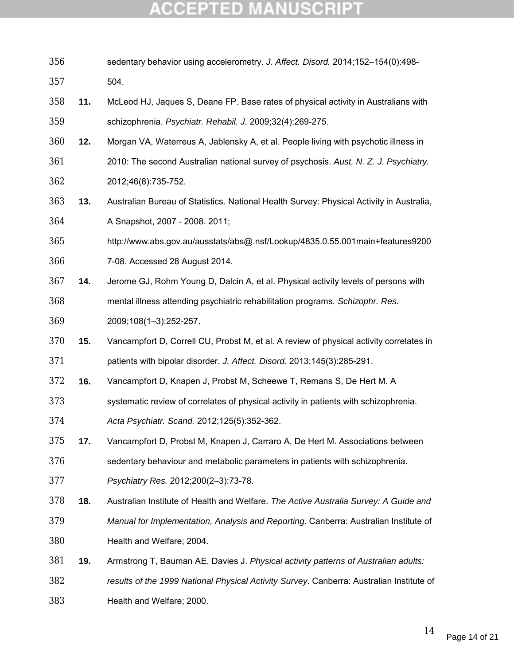| 356 |     | sedentary behavior using accelerometry. J. Affect. Disord. 2014;152-154(0):498-          |
|-----|-----|------------------------------------------------------------------------------------------|
| 357 |     | 504.                                                                                     |
| 358 | 11. | McLeod HJ, Jaques S, Deane FP. Base rates of physical activity in Australians with       |
| 359 |     | schizophrenia. Psychiatr. Rehabil. J. 2009;32(4):269-275.                                |
| 360 | 12. | Morgan VA, Waterreus A, Jablensky A, et al. People living with psychotic illness in      |
| 361 |     | 2010: The second Australian national survey of psychosis. Aust. N. Z. J. Psychiatry.     |
| 362 |     | 2012;46(8):735-752.                                                                      |
| 363 | 13. | Australian Bureau of Statistics. National Health Survey: Physical Activity in Australia, |
| 364 |     | A Snapshot, 2007 - 2008. 2011;                                                           |
| 365 |     | http://www.abs.gov.au/ausstats/abs@.nsf/Lookup/4835.0.55.001main+features9200            |
| 366 |     | 7-08. Accessed 28 August 2014.                                                           |
| 367 | 14. | Jerome GJ, Rohm Young D, Dalcin A, et al. Physical activity levels of persons with       |
| 368 |     | mental illness attending psychiatric rehabilitation programs. Schizophr. Res.            |
| 369 |     | 2009;108(1-3):252-257.                                                                   |
| 370 | 15. | Vancampfort D, Correll CU, Probst M, et al. A review of physical activity correlates in  |
| 371 |     | patients with bipolar disorder. J. Affect. Disord. 2013;145(3):285-291.                  |
| 372 | 16. | Vancampfort D, Knapen J, Probst M, Scheewe T, Remans S, De Hert M. A                     |
| 373 |     | systematic review of correlates of physical activity in patients with schizophrenia.     |
| 374 |     | Acta Psychiatr. Scand. 2012;125(5):352-362.                                              |
| 375 | 17. | Vancampfort D, Probst M, Knapen J, Carraro A, De Hert M. Associations between            |
| 376 |     | sedentary behaviour and metabolic parameters in patients with schizophrenia.             |
| 377 |     | Psychiatry Res. 2012;200(2-3):73-78.                                                     |
| 378 | 18. | Australian Institute of Health and Welfare. The Active Australia Survey: A Guide and     |
| 379 |     | Manual for Implementation, Analysis and Reporting. Canberra: Australian Institute of     |
| 380 |     | Health and Welfare; 2004.                                                                |
| 381 | 19. | Armstrong T, Bauman AE, Davies J. Physical activity patterns of Australian adults:       |
| 382 |     | results of the 1999 National Physical Activity Survey. Canberra: Australian Institute of |
| 383 |     | Health and Welfare; 2000.                                                                |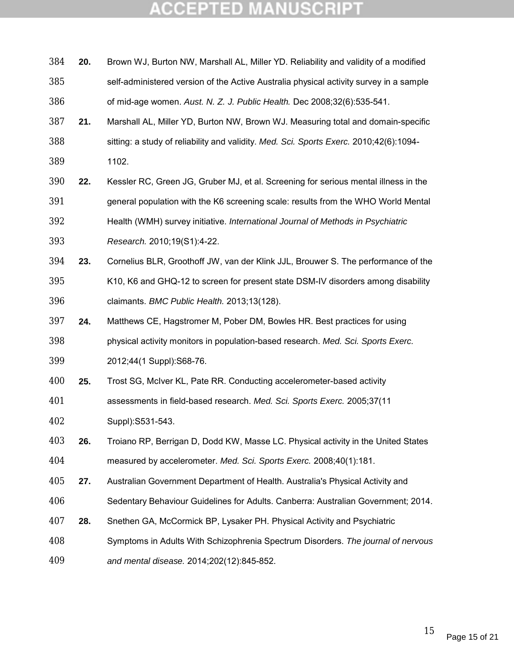| 384 | 20. | Brown WJ, Burton NW, Marshall AL, Miller YD. Reliability and validity of a modified    |
|-----|-----|----------------------------------------------------------------------------------------|
| 385 |     | self-administered version of the Active Australia physical activity survey in a sample |
| 386 |     | of mid-age women. Aust. N. Z. J. Public Health. Dec 2008;32(6):535-541.                |
| 387 | 21. | Marshall AL, Miller YD, Burton NW, Brown WJ. Measuring total and domain-specific       |
| 388 |     | sitting: a study of reliability and validity. Med. Sci. Sports Exerc. 2010;42(6):1094- |
| 389 |     | 1102.                                                                                  |
| 390 | 22. | Kessler RC, Green JG, Gruber MJ, et al. Screening for serious mental illness in the    |
| 391 |     | general population with the K6 screening scale: results from the WHO World Mental      |
| 392 |     | Health (WMH) survey initiative. International Journal of Methods in Psychiatric        |
| 393 |     | Research. 2010;19(S1):4-22.                                                            |
| 394 | 23. | Cornelius BLR, Groothoff JW, van der Klink JJL, Brouwer S. The performance of the      |
| 395 |     | K10, K6 and GHQ-12 to screen for present state DSM-IV disorders among disability       |
| 396 |     | claimants. BMC Public Health. 2013;13(128).                                            |
| 397 | 24. | Matthews CE, Hagstromer M, Pober DM, Bowles HR. Best practices for using               |
| 398 |     | physical activity monitors in population-based research. Med. Sci. Sports Exerc.       |
| 399 |     | 2012;44(1 Suppl):S68-76.                                                               |
| 400 | 25. | Trost SG, McIver KL, Pate RR. Conducting accelerometer-based activity                  |
| 401 |     | assessments in field-based research. Med. Sci. Sports Exerc. 2005;37(11                |
| 402 |     | Suppl): S531-543.                                                                      |
| 403 | 26. | Troiano RP, Berrigan D, Dodd KW, Masse LC. Physical activity in the United States      |
| 404 |     | measured by accelerometer. Med. Sci. Sports Exerc. 2008;40(1):181.                     |
| 405 | 27. | Australian Government Department of Health. Australia's Physical Activity and          |
| 406 |     | Sedentary Behaviour Guidelines for Adults. Canberra: Australian Government; 2014.      |
| 407 | 28. | Snethen GA, McCormick BP, Lysaker PH. Physical Activity and Psychiatric                |
| 408 |     | Symptoms in Adults With Schizophrenia Spectrum Disorders. The journal of nervous       |
| 409 |     | and mental disease. 2014;202(12):845-852.                                              |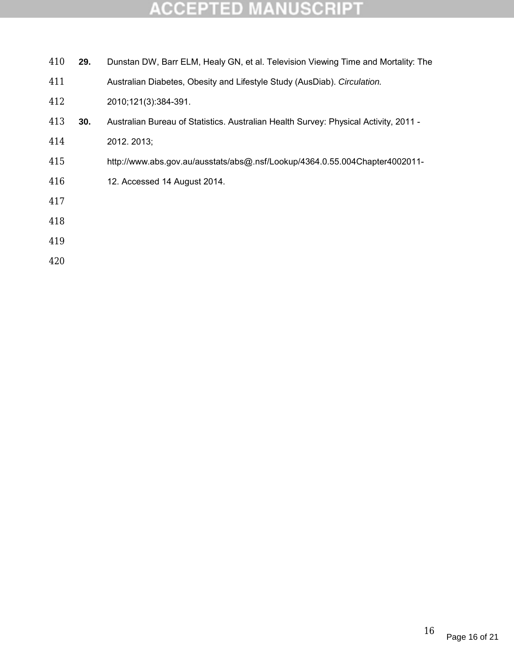| 410 | 29. | Dunstan DW, Barr ELM, Healy GN, et al. Television Viewing Time and Mortality: The    |
|-----|-----|--------------------------------------------------------------------------------------|
| 411 |     | Australian Diabetes, Obesity and Lifestyle Study (AusDiab). Circulation.             |
| 412 |     | 2010;121(3):384-391.                                                                 |
| 413 | 30. | Australian Bureau of Statistics. Australian Health Survey: Physical Activity, 2011 - |
| 414 |     | 2012. 2013;                                                                          |
| 415 |     | http://www.abs.gov.au/ausstats/abs@.nsf/Lookup/4364.0.55.004Chapter4002011-          |
| 416 |     | 12. Accessed 14 August 2014.                                                         |
| 417 |     |                                                                                      |
| 418 |     |                                                                                      |
| 419 |     |                                                                                      |
|     |     |                                                                                      |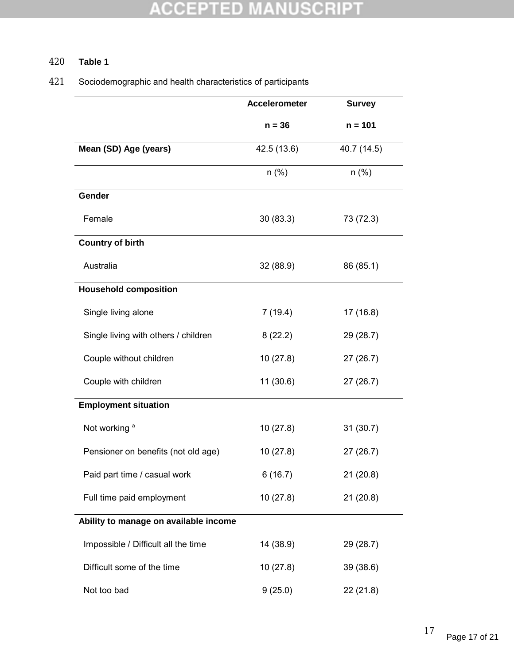### 420 **Table 1**

### 421 Sociodemographic and health characteristics of participants

|                                       | <b>Accelerometer</b> | <b>Survey</b> |
|---------------------------------------|----------------------|---------------|
|                                       | $n = 36$             | $n = 101$     |
| Mean (SD) Age (years)                 | 42.5 (13.6)          | 40.7 (14.5)   |
|                                       | $n$ (%)              | $n$ (%)       |
| Gender                                |                      |               |
| Female                                | 30(83.3)             | 73 (72.3)     |
| <b>Country of birth</b>               |                      |               |
| Australia                             | 32 (88.9)            | 86 (85.1)     |
| <b>Household composition</b>          |                      |               |
| Single living alone                   | 7(19.4)              | 17 (16.8)     |
| Single living with others / children  | 8(22.2)              | 29 (28.7)     |
| Couple without children               | 10(27.8)             | 27(26.7)      |
| Couple with children                  | 11(30.6)             | 27(26.7)      |
| <b>Employment situation</b>           |                      |               |
| Not working <sup>a</sup>              | 10(27.8)             | 31(30.7)      |
| Pensioner on benefits (not old age)   | 10(27.8)             | 27(26.7)      |
| Paid part time / casual work          | 6(16.7)              | 21(20.8)      |
| Full time paid employment             | 10(27.8)             | 21(20.8)      |
| Ability to manage on available income |                      |               |
| Impossible / Difficult all the time   | 14 (38.9)            | 29 (28.7)     |
| Difficult some of the time            | 10(27.8)             | 39 (38.6)     |
| Not too bad                           | 9(25.0)              | 22(21.8)      |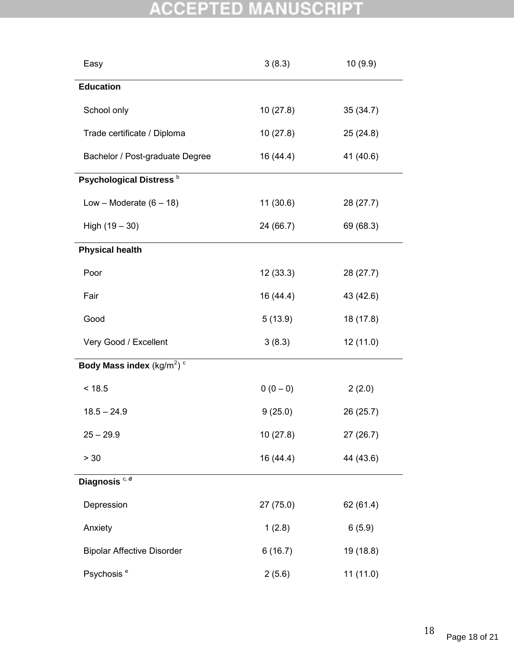| Easy                                    | 3(8.3)    | 10 (9.9)  |  |  |
|-----------------------------------------|-----------|-----------|--|--|
| <b>Education</b>                        |           |           |  |  |
| School only                             | 10(27.8)  | 35(34.7)  |  |  |
| Trade certificate / Diploma             | 10(27.8)  | 25(24.8)  |  |  |
| Bachelor / Post-graduate Degree         | 16 (44.4) | 41 (40.6) |  |  |
| Psychological Distress <sup>b</sup>     |           |           |  |  |
| Low – Moderate $(6 - 18)$               | 11(30.6)  | 28 (27.7) |  |  |
| High $(19 - 30)$                        | 24 (66.7) | 69 (68.3) |  |  |
| <b>Physical health</b>                  |           |           |  |  |
| Poor                                    | 12(33.3)  | 28 (27.7) |  |  |
| Fair                                    | 16 (44.4) | 43 (42.6) |  |  |
| Good                                    | 5(13.9)   | 18 (17.8) |  |  |
| Very Good / Excellent                   | 3(8.3)    | 12 (11.0) |  |  |
| Body Mass index $(kg/m^2)$ <sup>c</sup> |           |           |  |  |
| < 18.5                                  | $0(0-0)$  | 2(2.0)    |  |  |
| $18.5 - 24.9$                           | 9(25.0)   | 26 (25.7) |  |  |
| $25 - 29.9$                             | 10 (27.8) | 27 (26.7) |  |  |
| > 30                                    | 16 (44.4) | 44 (43.6) |  |  |
| Diagnosis <sup>c, d</sup>               |           |           |  |  |
| Depression                              | 27(75.0)  | 62 (61.4) |  |  |
| Anxiety                                 | 1(2.8)    | 6(5.9)    |  |  |
| <b>Bipolar Affective Disorder</b>       | 6(16.7)   | 19 (18.8) |  |  |
| Psychosis <sup>e</sup>                  | 2(5.6)    | 11 (11.0) |  |  |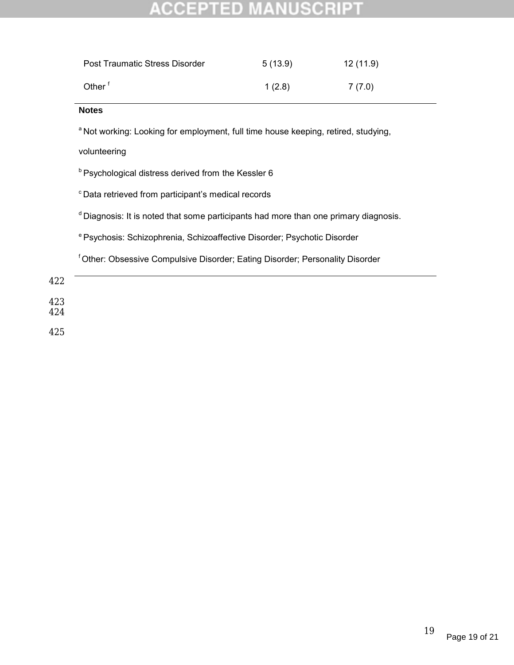| <b>Post Traumatic Stress Disorder</b> | 5(13.9) | 12 (11.9) |
|---------------------------------------|---------|-----------|
| Other <sup>f</sup>                    | 1(2.8)  | 7 (7.0)   |

### **Notes**

<sup>a</sup> Not working: Looking for employment, full time house keeping, retired, studying,

volunteering

**b Psychological distress derived from the Kessler 6** 

<sup>c</sup> Data retrieved from participant's medical records

<sup>d</sup> Diagnosis: It is noted that some participants had more than one primary diagnosis.

e Psychosis: Schizophrenia, Schizoaffective Disorder; Psychotic Disorder

f Other: Obsessive Compulsive Disorder; Eating Disorder; Personality Disorder

422

423

424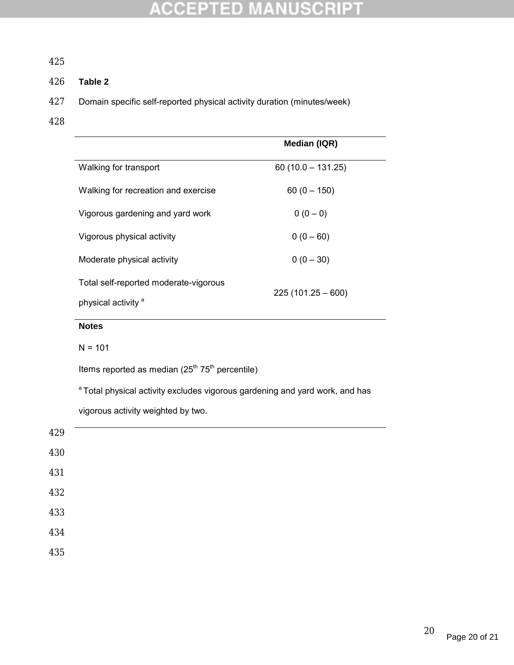### 425

### 426 **Table 2**

- 427 Domain specific self-reported physical activity duration (minutes/week)
- 428

|                                       | Median (IQR)        |  |
|---------------------------------------|---------------------|--|
| Walking for transport                 | $60(10.0 - 131.25)$ |  |
| Walking for recreation and exercise   | $60(0 - 150)$       |  |
| Vigorous gardening and yard work      | $0(0-0)$            |  |
| Vigorous physical activity            | $0(0 - 60)$         |  |
| Moderate physical activity            | $0(0 - 30)$         |  |
| Total self-reported moderate-vigorous |                     |  |
| physical activity <sup>a</sup>        | $225(101.25-600)$   |  |

### **Notes**

 $N = 101$ 

Items reported as median  $(25<sup>th</sup> 75<sup>th</sup>$  percentile)

<sup>a</sup> Total physical activity excludes vigorous gardening and yard work, and has vigorous activity weighted by two.

| 429 |  |  |  |
|-----|--|--|--|
| 430 |  |  |  |
| 431 |  |  |  |
| 432 |  |  |  |
| 433 |  |  |  |
| 434 |  |  |  |
| 435 |  |  |  |
|     |  |  |  |